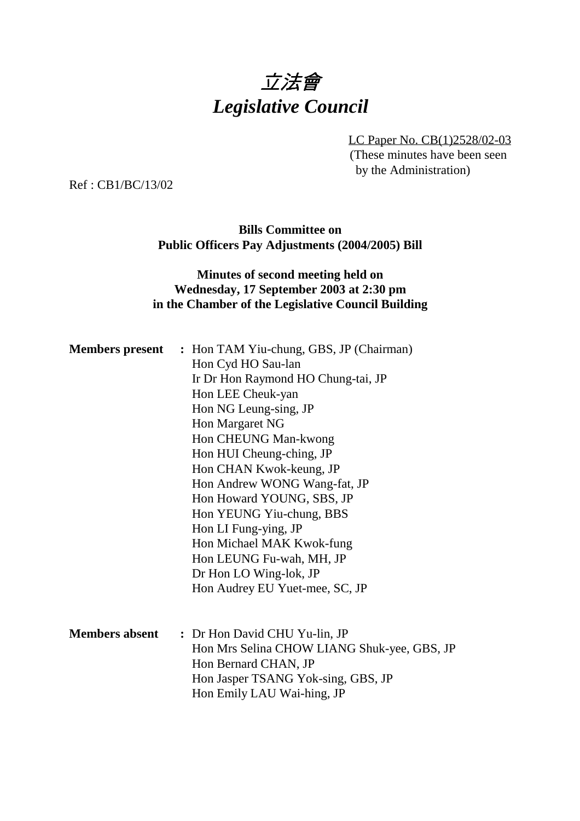# 立法會 *Legislative Council*

LC Paper No. CB(1)2528/02-03 (These minutes have been seen by the Administration)

Ref : CB1/BC/13/02

**Bills Committee on Public Officers Pay Adjustments (2004/2005) Bill**

## **Minutes of second meeting held on Wednesday, 17 September 2003 at 2:30 pm in the Chamber of the Legislative Council Building**

|                       | <b>Members present</b> : Hon TAM Yiu-chung, GBS, JP (Chairman) |
|-----------------------|----------------------------------------------------------------|
|                       | Hon Cyd HO Sau-lan                                             |
|                       | Ir Dr Hon Raymond HO Chung-tai, JP                             |
|                       | Hon LEE Cheuk-yan                                              |
|                       | Hon NG Leung-sing, JP                                          |
|                       | Hon Margaret NG                                                |
|                       | Hon CHEUNG Man-kwong                                           |
|                       | Hon HUI Cheung-ching, JP                                       |
|                       | Hon CHAN Kwok-keung, JP                                        |
|                       | Hon Andrew WONG Wang-fat, JP                                   |
|                       | Hon Howard YOUNG, SBS, JP                                      |
|                       | Hon YEUNG Yiu-chung, BBS                                       |
|                       | Hon LI Fung-ying, JP                                           |
|                       | Hon Michael MAK Kwok-fung                                      |
|                       | Hon LEUNG Fu-wah, MH, JP                                       |
|                       | Dr Hon LO Wing-lok, JP                                         |
|                       | Hon Audrey EU Yuet-mee, SC, JP                                 |
|                       |                                                                |
| <b>Members absent</b> | : Dr Hon David CHU Yu-lin, JP                                  |
|                       | Hon Mrs Selina CHOW LIANG Shuk-yee, GBS, JP                    |
|                       | Hon Bernard CHAN, JP                                           |
|                       | Hon Jasper TSANG Yok-sing, GBS, JP                             |
|                       | Hon Emily LAU Wai-hing, JP                                     |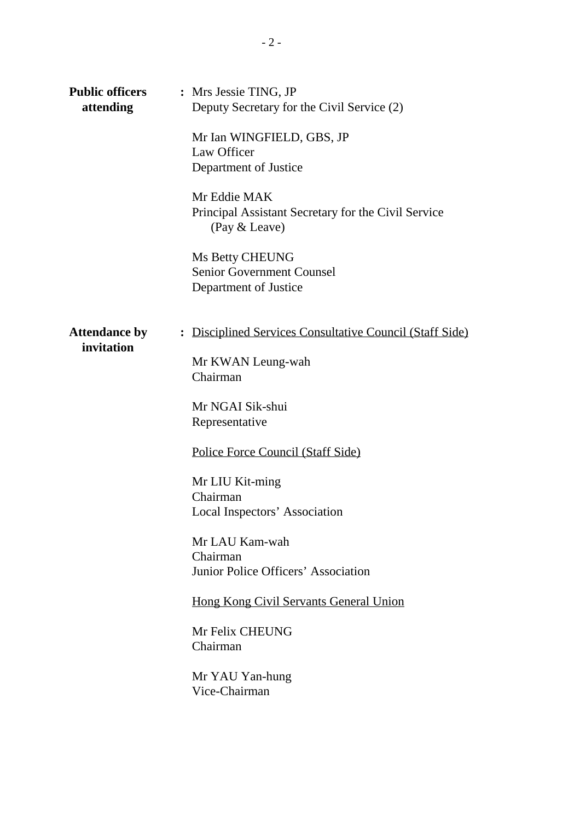| <b>Public officers</b><br>attending | : Mrs Jessie TING, JP<br>Deputy Secretary for the Civil Service (2)<br>Mr Ian WINGFIELD, GBS, JP<br>Law Officer<br>Department of Justice<br>Mr Eddie MAK<br>Principal Assistant Secretary for the Civil Service<br>(Pay & Leave)<br>Ms Betty CHEUNG<br><b>Senior Government Counsel</b><br>Department of Justice                                                                                                              |
|-------------------------------------|-------------------------------------------------------------------------------------------------------------------------------------------------------------------------------------------------------------------------------------------------------------------------------------------------------------------------------------------------------------------------------------------------------------------------------|
| <b>Attendance by</b><br>invitation  | : Disciplined Services Consultative Council (Staff Side)<br>Mr KWAN Leung-wah<br>Chairman<br>Mr NGAI Sik-shui<br>Representative<br>Police Force Council (Staff Side)<br>Mr LIU Kit-ming<br>Chairman<br>Local Inspectors' Association<br>Mr LAU Kam-wah<br>Chairman<br>Junior Police Officers' Association<br><b>Hong Kong Civil Servants General Union</b><br>Mr Felix CHEUNG<br>Chairman<br>Mr YAU Yan-hung<br>Vice-Chairman |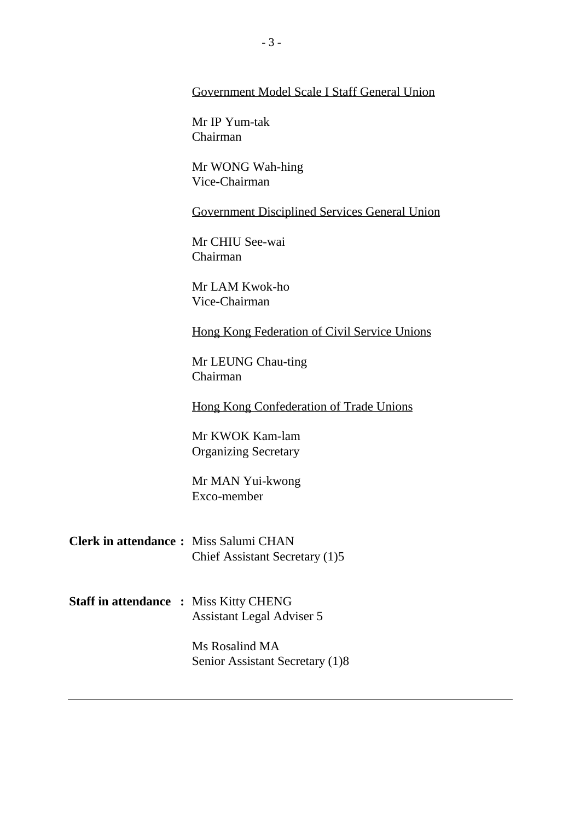#### Government Model Scale I Staff General Union

Mr IP Yum-tak Chairman

Mr WONG Wah-hing Vice-Chairman

Government Disciplined Services General Union

Mr CHIU See-wai Chairman

Mr LAM Kwok-ho Vice-Chairman

Hong Kong Federation of Civil Service Unions

Mr LEUNG Chau-ting Chairman

Hong Kong Confederation of Trade Unions

Mr KWOK Kam-lam Organizing Secretary

Mr MAN Yui-kwong Exco-member

- **Clerk in attendance :** Miss Salumi CHAN Chief Assistant Secretary (1)5
- **Staff in attendance :** Miss Kitty CHENG Assistant Legal Adviser 5

Ms Rosalind MA Senior Assistant Secretary (1)8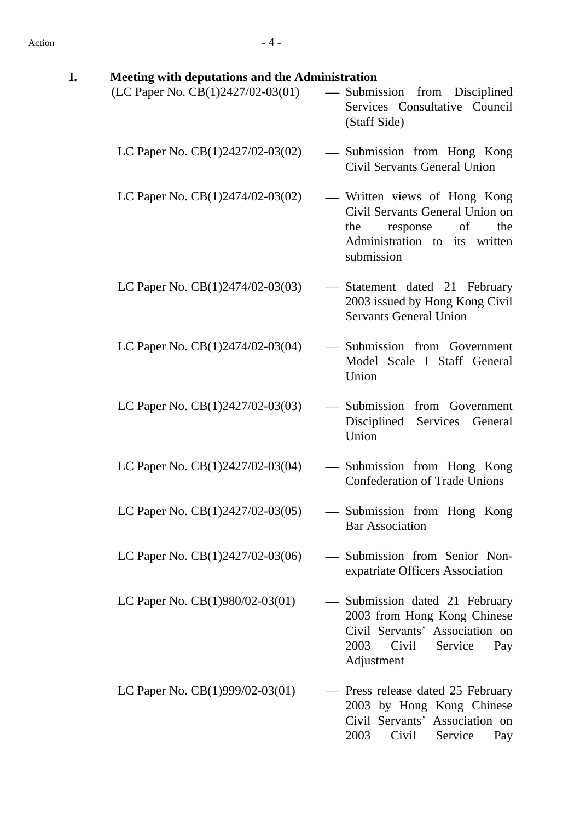| I. | Meeting with deputations and the Administration |                                                                                                                                                |
|----|-------------------------------------------------|------------------------------------------------------------------------------------------------------------------------------------------------|
|    | (LC Paper No. CB(1)2427/02-03(01)               | — Submission from Disciplined<br>Services Consultative Council<br>(Staff Side)                                                                 |
|    | LC Paper No. $CB(1)2427/02-03(02)$              | — Submission from Hong Kong<br>Civil Servants General Union                                                                                    |
|    | LC Paper No. $CB(1)2474/02-03(02)$              | — Written views of Hong Kong<br>Civil Servants General Union on<br>of<br>the<br>the<br>response<br>Administration to its written<br>submission |
|    | LC Paper No. $CB(1)2474/02-03(03)$              | - Statement dated 21 February<br>2003 issued by Hong Kong Civil<br><b>Servants General Union</b>                                               |
|    | LC Paper No. $CB(1)2474/02-03(04)$              | — Submission from Government<br>Model Scale I Staff General<br>Union                                                                           |
|    | LC Paper No. $CB(1)2427/02-03(03)$              | — Submission from Government<br>Disciplined<br>Services<br>General<br>Union                                                                    |
|    | LC Paper No. $CB(1)2427/02-03(04)$              | — Submission from Hong Kong<br><b>Confederation of Trade Unions</b>                                                                            |
|    | LC Paper No. CB(1)2427/02-03(05)                | - Submission from Hong Kong<br><b>Bar Association</b>                                                                                          |
|    | LC Paper No. $CB(1)2427/02-03(06)$              | - Submission from Senior Non-<br>expatriate Officers Association                                                                               |
|    | LC Paper No. CB(1)980/02-03(01)                 | Submission dated 21 February<br>2003 from Hong Kong Chinese<br>Civil Servants' Association on<br>Civil<br>2003<br>Service<br>Pay<br>Adjustment |
|    | LC Paper No. CB(1)999/02-03(01)                 | - Press release dated 25 February<br>2003 by Hong Kong Chinese<br>Civil Servants' Association on<br>2003<br>Civil<br>Service<br>Pay            |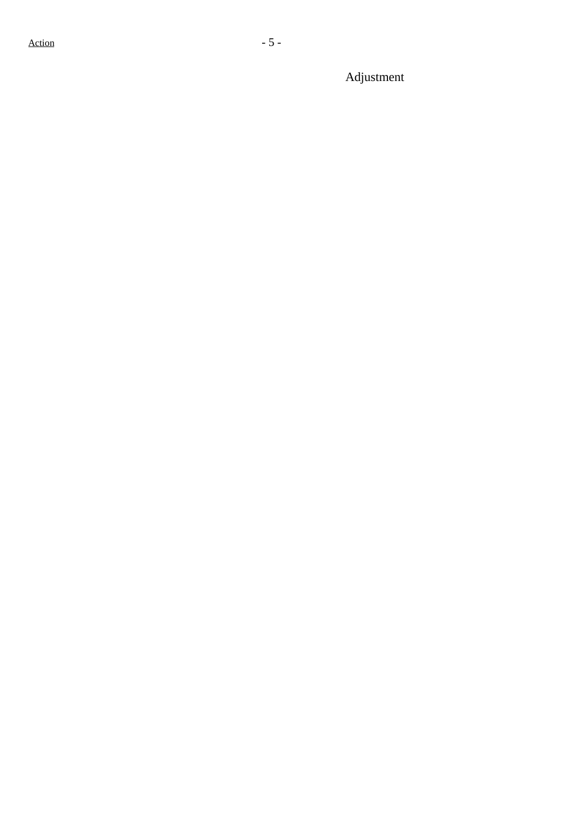Adjustment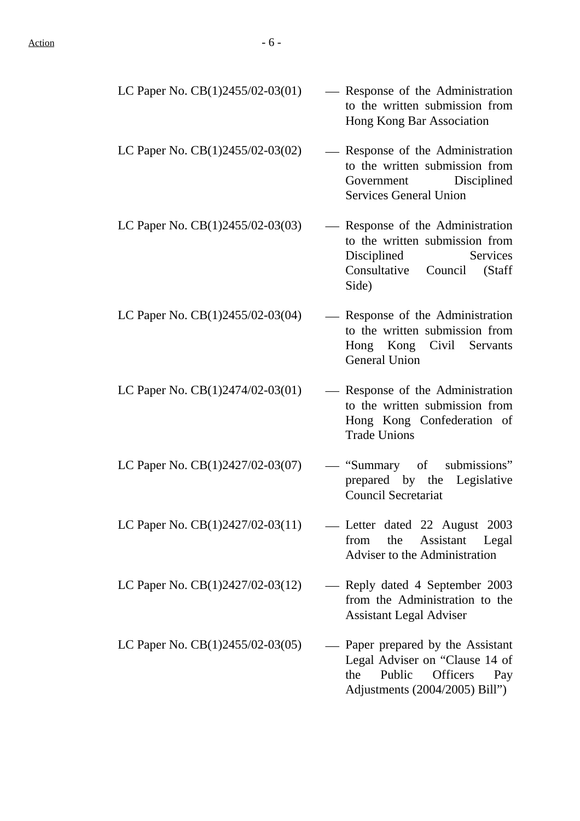| LC Paper No. $CB(1)2455/02-03(01)$ | - Response of the Administration<br>to the written submission from<br>Hong Kong Bar Association                                              |
|------------------------------------|----------------------------------------------------------------------------------------------------------------------------------------------|
| LC Paper No. $CB(1)2455/02-03(02)$ | — Response of the Administration<br>to the written submission from<br>Government Disciplined<br><b>Services General Union</b>                |
| LC Paper No. CB(1)2455/02-03(03)   | - Response of the Administration<br>to the written submission from<br>Disciplined<br><b>Services</b><br>Consultative Council (Staff<br>Side) |
| LC Paper No. $CB(1)2455/02-03(04)$ | — Response of the Administration<br>to the written submission from<br>Hong Kong Civil Servants<br><b>General Union</b>                       |
| LC Paper No. CB(1)2474/02-03(01)   | - Response of the Administration<br>to the written submission from<br>Hong Kong Confederation of<br><b>Trade Unions</b>                      |
| LC Paper No. $CB(1)2427/02-03(07)$ | "Summary of submissions"<br>prepared by the Legislative<br><b>Council Secretariat</b>                                                        |
| LC Paper No. CB(1)2427/02-03(11)   | Letter dated 22 August 2003<br>Assistant Legal<br>from<br>the<br>Adviser to the Administration                                               |
| LC Paper No. $CB(1)2427/02-03(12)$ | - Reply dated 4 September 2003<br>from the Administration to the<br><b>Assistant Legal Adviser</b>                                           |
| LC Paper No. $CB(1)2455/02-03(05)$ | Paper prepared by the Assistant<br>Legal Adviser on "Clause 14 of<br>Public<br>Officers<br>the<br>Pay<br>Adjustments (2004/2005) Bill")      |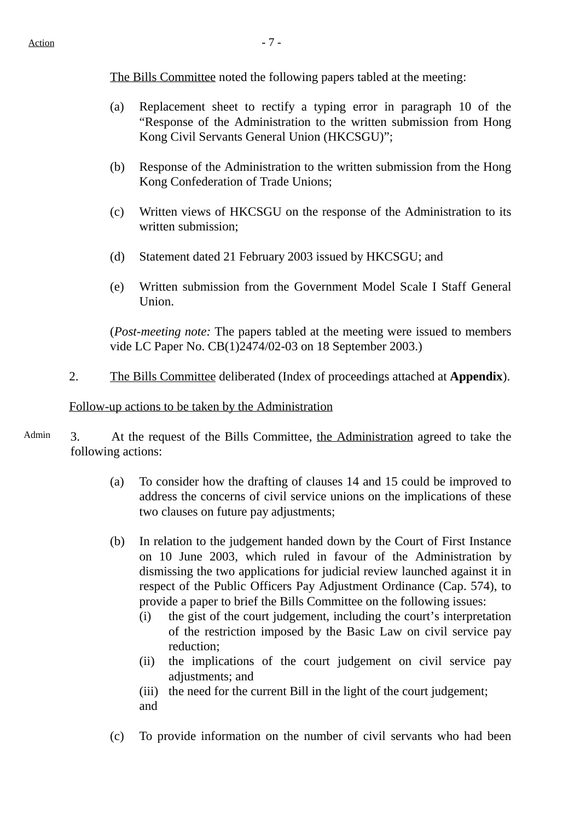The Bills Committee noted the following papers tabled at the meeting:

- (a) Replacement sheet to rectify a typing error in paragraph 10 of the "Response of the Administration to the written submission from Hong Kong Civil Servants General Union (HKCSGU)";
- (b) Response of the Administration to the written submission from the Hong Kong Confederation of Trade Unions;
- (c) Written views of HKCSGU on the response of the Administration to its written submission;
- (d) Statement dated 21 February 2003 issued by HKCSGU; and
- (e) Written submission from the Government Model Scale I Staff General Union.

(*Post-meeting note:* The papers tabled at the meeting were issued to members vide LC Paper No. CB(1)2474/02-03 on 18 September 2003.)

2. The Bills Committee deliberated (Index of proceedings attached at **Appendix**).

#### Follow-up actions to be taken by the Administration

- Admin 3. At the request of the Bills Committee, the Administration agreed to take the following actions:
	- (a) To consider how the drafting of clauses 14 and 15 could be improved to address the concerns of civil service unions on the implications of these two clauses on future pay adjustments;
	- (b) In relation to the judgement handed down by the Court of First Instance on 10 June 2003, which ruled in favour of the Administration by dismissing the two applications for judicial review launched against it in respect of the Public Officers Pay Adjustment Ordinance (Cap. 574), to provide a paper to brief the Bills Committee on the following issues:
		- (i) the gist of the court judgement, including the court's interpretation of the restriction imposed by the Basic Law on civil service pay reduction;
		- (ii) the implications of the court judgement on civil service pay adjustments; and
		- (iii) the need for the current Bill in the light of the court judgement; and
	- (c) To provide information on the number of civil servants who had been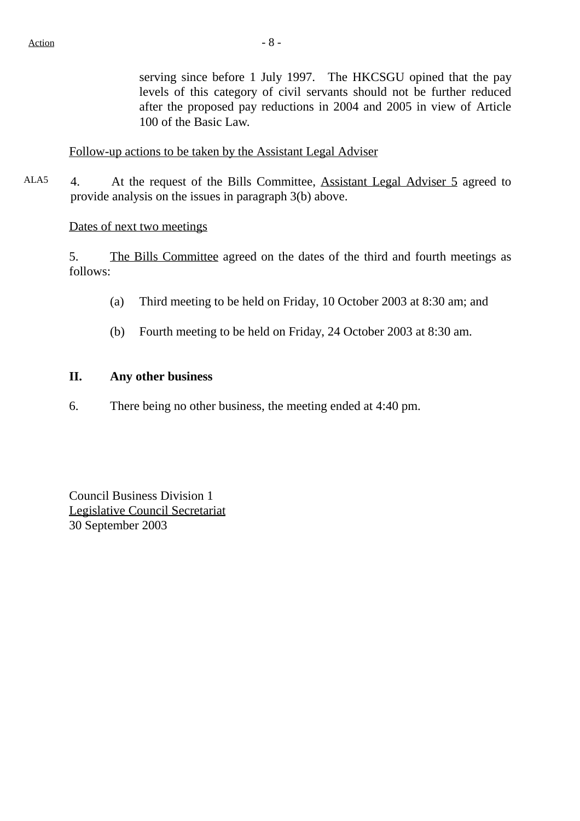serving since before 1 July 1997. The HKCSGU opined that the pay levels of this category of civil servants should not be further reduced after the proposed pay reductions in 2004 and 2005 in view of Article 100 of the Basic Law.

Follow-up actions to be taken by the Assistant Legal Adviser

ALA5 4. At the request of the Bills Committee, Assistant Legal Adviser 5 agreed to provide analysis on the issues in paragraph 3(b) above.

#### Dates of next two meetings

5. The Bills Committee agreed on the dates of the third and fourth meetings as follows:

- (a) Third meeting to be held on Friday, 10 October 2003 at 8:30 am; and
- (b) Fourth meeting to be held on Friday, 24 October 2003 at 8:30 am.

#### **II. Any other business**

6. There being no other business, the meeting ended at 4:40 pm.

Council Business Division 1 Legislative Council Secretariat 30 September 2003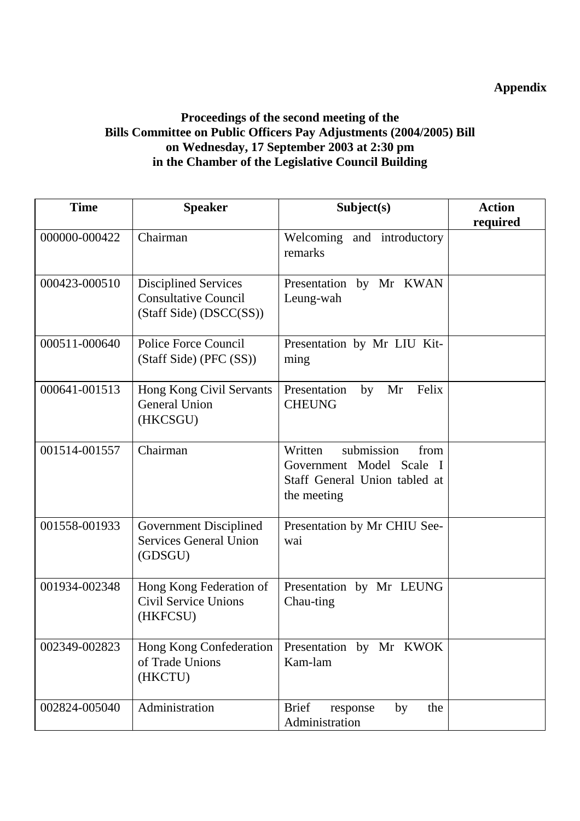# **Appendix**

## **Proceedings of the second meeting of the Bills Committee on Public Officers Pay Adjustments (2004/2005) Bill on Wednesday, 17 September 2003 at 2:30 pm in the Chamber of the Legislative Council Building**

| <b>Time</b>   | <b>Speaker</b>                                                                        | Subject(s)                                                                                                | <b>Action</b> |
|---------------|---------------------------------------------------------------------------------------|-----------------------------------------------------------------------------------------------------------|---------------|
|               |                                                                                       |                                                                                                           | required      |
| 000000-000422 | Chairman                                                                              | Welcoming and introductory<br>remarks                                                                     |               |
| 000423-000510 | <b>Disciplined Services</b><br><b>Consultative Council</b><br>(Staff Side) (DSCC(SS)) | Presentation by Mr KWAN<br>Leung-wah                                                                      |               |
| 000511-000640 | <b>Police Force Council</b><br>(Staff Side) (PFC (SS))                                | Presentation by Mr LIU Kit-<br>ming                                                                       |               |
| 000641-001513 | Hong Kong Civil Servants<br><b>General Union</b><br>(HKCSGU)                          | Felix<br>Presentation<br>Mr<br>by<br><b>CHEUNG</b>                                                        |               |
| 001514-001557 | Chairman                                                                              | submission<br>Written<br>from<br>Government Model Scale I<br>Staff General Union tabled at<br>the meeting |               |
| 001558-001933 | <b>Government Disciplined</b><br><b>Services General Union</b><br>(GDSGU)             | Presentation by Mr CHIU See-<br>wai                                                                       |               |
| 001934-002348 | Hong Kong Federation of<br><b>Civil Service Unions</b><br>(HKFCSU)                    | Presentation by Mr LEUNG<br>Chau-ting                                                                     |               |
| 002349-002823 | Hong Kong Confederation<br>of Trade Unions<br>(HKCTU)                                 | Presentation by Mr KWOK<br>Kam-lam                                                                        |               |
| 002824-005040 | Administration                                                                        | <b>Brief</b><br>the<br>by<br>response<br>Administration                                                   |               |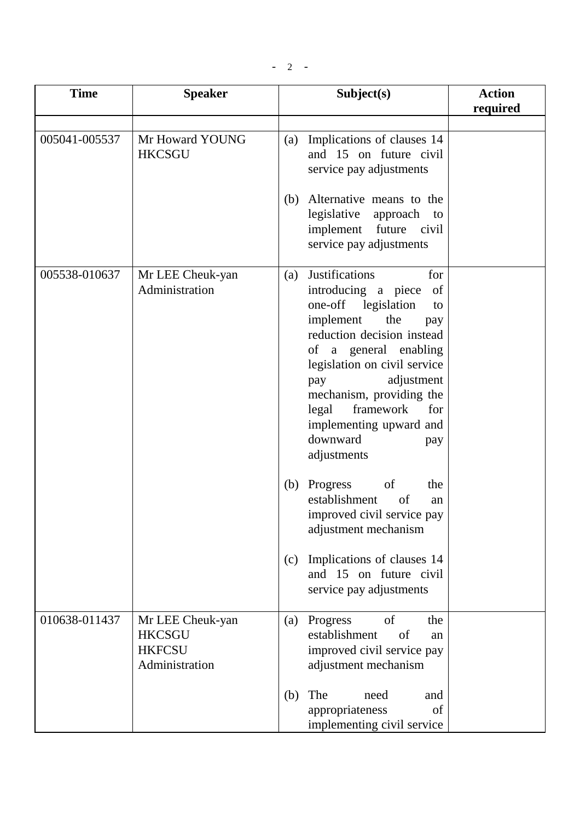| <b>Time</b>   | <b>Speaker</b>                                                       | Subject(s)                                                                                                                                                                                                                                                                                                                                          | <b>Action</b><br>required |
|---------------|----------------------------------------------------------------------|-----------------------------------------------------------------------------------------------------------------------------------------------------------------------------------------------------------------------------------------------------------------------------------------------------------------------------------------------------|---------------------------|
|               |                                                                      |                                                                                                                                                                                                                                                                                                                                                     |                           |
| 005041-005537 | Mr Howard YOUNG<br><b>HKCSGU</b>                                     | (a) Implications of clauses 14<br>and 15 on future civil<br>service pay adjustments<br>Alternative means to the<br>(b)<br>legislative<br>approach to<br>implement<br>future civil<br>service pay adjustments                                                                                                                                        |                           |
| 005538-010637 | Mr LEE Cheuk-yan<br>Administration                                   | Justifications<br>for<br>(a)<br>introducing a piece<br>of<br>one-off legislation<br>to<br>implement<br>the<br>pay<br>reduction decision instead<br>of a general enabling<br>legislation on civil service<br>adjustment<br>pay<br>mechanism, providing the<br>framework<br>legal<br>for<br>implementing upward and<br>downward<br>pay<br>adjustments |                           |
|               |                                                                      | of<br>Progress<br>the<br>(b)<br>establishment<br>of<br>an<br>improved civil service pay<br>adjustment mechanism<br>Implications of clauses 14<br>(c)<br>and 15 on future civil<br>service pay adjustments                                                                                                                                           |                           |
| 010638-011437 | Mr LEE Cheuk-yan<br><b>HKCSGU</b><br><b>HKFCSU</b><br>Administration | Progress<br>of<br>the<br>(a)<br>establishment<br>of<br>an<br>improved civil service pay<br>adjustment mechanism<br>The<br>(b)<br>need<br>and                                                                                                                                                                                                        |                           |
|               |                                                                      | appropriateness<br>of<br>implementing civil service                                                                                                                                                                                                                                                                                                 |                           |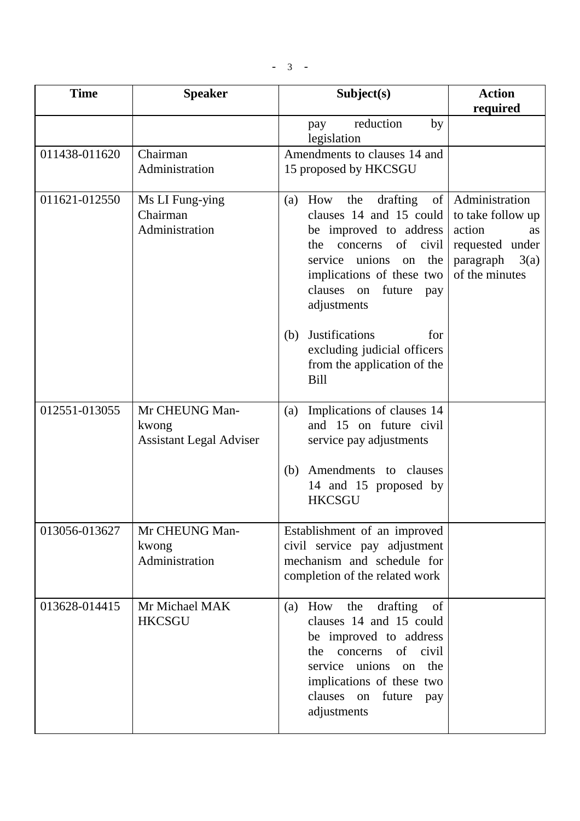- 3 -

| <b>Time</b>   | <b>Speaker</b>                                            | Subject(s)                                                                                                                                                                                                                  | <b>Action</b>                                                                                                             |
|---------------|-----------------------------------------------------------|-----------------------------------------------------------------------------------------------------------------------------------------------------------------------------------------------------------------------------|---------------------------------------------------------------------------------------------------------------------------|
|               |                                                           |                                                                                                                                                                                                                             | required                                                                                                                  |
|               |                                                           | reduction<br>by<br>pay<br>legislation                                                                                                                                                                                       |                                                                                                                           |
| 011438-011620 | Chairman                                                  | Amendments to clauses 14 and                                                                                                                                                                                                |                                                                                                                           |
|               | Administration                                            | 15 proposed by HKCSGU                                                                                                                                                                                                       |                                                                                                                           |
| 011621-012550 | Ms LI Fung-ying<br>Chairman<br>Administration             | the<br>drafting<br>How<br>(a)<br>clauses 14 and 15 could<br>be improved to address<br>of civil<br>the<br>concerns<br>service unions<br>on the<br>implications of these two<br>clauses<br>future<br>on<br>pay<br>adjustments | of   Administration<br>to take follow up<br>action<br><b>as</b><br>requested under<br>3(a)<br>paragraph<br>of the minutes |
|               |                                                           | <b>Justifications</b><br>(b)<br>for<br>excluding judicial officers<br>from the application of the<br><b>Bill</b>                                                                                                            |                                                                                                                           |
| 012551-013055 | Mr CHEUNG Man-<br>kwong<br><b>Assistant Legal Adviser</b> | Implications of clauses 14<br>(a)<br>and 15 on future civil<br>service pay adjustments                                                                                                                                      |                                                                                                                           |
|               |                                                           | Amendments to clauses<br>(b)<br>14 and 15 proposed by<br><b>HKCSGU</b>                                                                                                                                                      |                                                                                                                           |
| 013056-013627 | Mr CHEUNG Man-<br>kwong<br>Administration                 | Establishment of an improved<br>civil service pay adjustment<br>mechanism and schedule for<br>completion of the related work                                                                                                |                                                                                                                           |
| 013628-014415 | Mr Michael MAK<br><b>HKCSGU</b>                           | the<br>drafting<br>How<br>of<br>(a)<br>clauses 14 and 15 could<br>be improved to address<br>the concerns<br>of civil<br>service unions on the<br>implications of these two<br>clauses on future<br>pay<br>adjustments       |                                                                                                                           |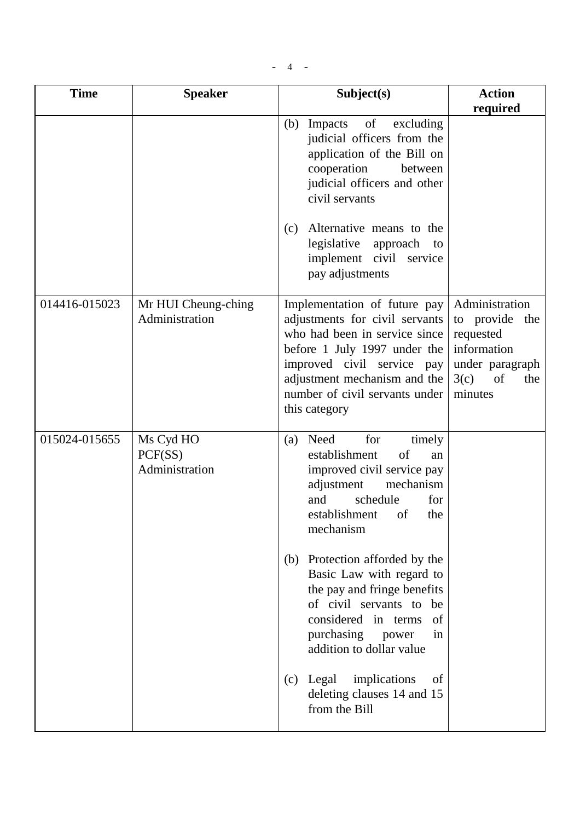$- 4 - -$ 

| <b>Time</b>   | <b>Speaker</b>                         | Subject(s)                                                                                                                                                                                                                                                                                                                                                                                                                                                                        | <b>Action</b>                                                                                                   |
|---------------|----------------------------------------|-----------------------------------------------------------------------------------------------------------------------------------------------------------------------------------------------------------------------------------------------------------------------------------------------------------------------------------------------------------------------------------------------------------------------------------------------------------------------------------|-----------------------------------------------------------------------------------------------------------------|
|               |                                        | of<br>Impacts<br>excluding<br>(b)<br>judicial officers from the<br>application of the Bill on<br>cooperation<br>between<br>judicial officers and other<br>civil servants<br>Alternative means to the<br>(c)<br>legislative<br>approach<br>to<br>implement civil service<br>pay adjustments                                                                                                                                                                                        | required                                                                                                        |
| 014416-015023 | Mr HUI Cheung-ching<br>Administration  | Implementation of future pay<br>adjustments for civil servants<br>who had been in service since<br>before 1 July 1997 under the<br>improved civil service pay<br>adjustment mechanism and the<br>number of civil servants under<br>this category                                                                                                                                                                                                                                  | Administration<br>to provide the<br>requested<br>information<br>under paragraph<br>3(c)<br>of<br>the<br>minutes |
| 015024-015655 | Ms Cyd HO<br>PCF(SS)<br>Administration | for<br>Need<br>timely<br>(a)<br>establishment<br>of<br>an<br>improved civil service pay<br>adjustment<br>mechanism<br>and<br>schedule<br>for<br>establishment of the<br>mechanism<br>(b) Protection afforded by the<br>Basic Law with regard to<br>the pay and fringe benefits<br>of civil servants to be<br>considered in terms<br>-of<br>purchasing power<br>in<br>addition to dollar value<br>$(c)$ Legal<br>implications<br>of<br>deleting clauses 14 and 15<br>from the Bill |                                                                                                                 |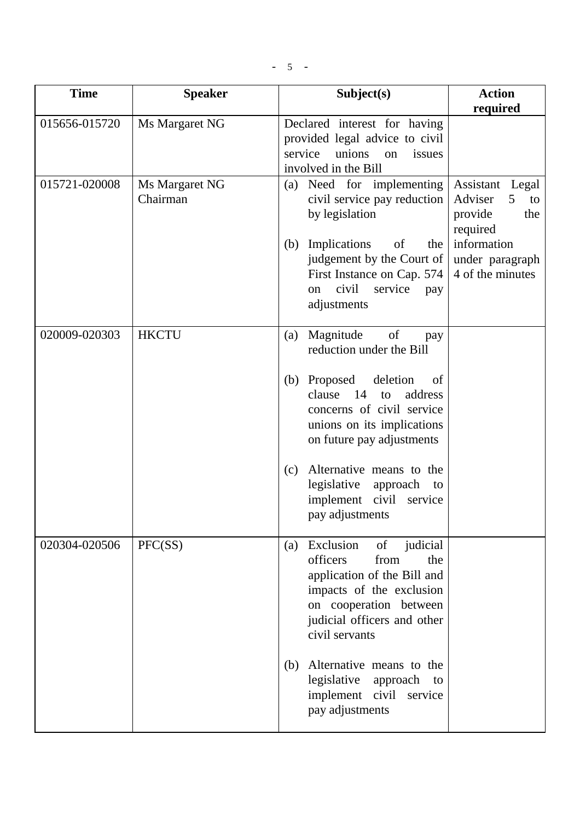$-5$  -

| <b>Time</b>   | <b>Speaker</b>             | Subject(s)                                                                                                                                                                                                                                                                                                                             | <b>Action</b>                                                                                                                |
|---------------|----------------------------|----------------------------------------------------------------------------------------------------------------------------------------------------------------------------------------------------------------------------------------------------------------------------------------------------------------------------------------|------------------------------------------------------------------------------------------------------------------------------|
| 015656-015720 | Ms Margaret NG             | Declared interest for having<br>provided legal advice to civil<br>service<br>unions<br>on<br>issues<br>involved in the Bill                                                                                                                                                                                                            | required                                                                                                                     |
| 015721-020008 | Ms Margaret NG<br>Chairman | Need for implementing<br>(a)<br>civil service pay reduction<br>by legislation<br>Implications<br>of<br>the<br>(b)<br>judgement by the Court of<br>First Instance on Cap. 574<br>civil<br>service<br>on<br>pay<br>adjustments                                                                                                           | Assistant<br>Legal<br>Adviser<br>5<br>to<br>provide<br>the<br>required<br>information<br>under paragraph<br>4 of the minutes |
| 020009-020303 | <b>HKCTU</b>               | Magnitude<br>of<br>(a)<br>pay<br>reduction under the Bill<br>Proposed<br>deletion<br>(b)<br>of<br>14<br>clause<br>address<br>to<br>concerns of civil service<br>unions on its implications<br>on future pay adjustments<br>Alternative means to the<br>(c)<br>legislative<br>approach to<br>implement civil service<br>pay adjustments |                                                                                                                              |
| 020304-020506 | PFC(SS)                    | Exclusion<br>of judicial<br>(a)<br>officers<br>from<br>the<br>application of the Bill and<br>impacts of the exclusion<br>on cooperation between<br>judicial officers and other<br>civil servants<br>Alternative means to the<br>(b)<br>legislative<br>approach to<br>implement civil service<br>pay adjustments                        |                                                                                                                              |